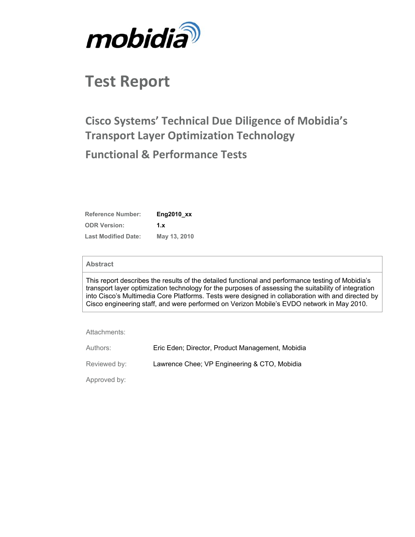

# **Test Report**

# **Cisco Systems' Technical Due Diligence of Mobidia's Transport Layer Optimization Technology Functional & Performance Tests**

| <b>Reference Number:</b>   | $Eng2010$ $xx$ |
|----------------------------|----------------|
| <b>ODR Version:</b>        | 1.x            |
| <b>Last Modified Date:</b> | May 13, 2010   |

#### **Abstract**

This report describes the results of the detailed functional and performance testing of Mobidia's transport layer optimization technology for the purposes of assessing the suitability of integration into Cisco's Multimedia Core Platforms. Tests were designed in collaboration with and directed by Cisco engineering staff, and were performed on Verizon Mobile's EVDO network in May 2010.

Attachments:

| Authors:     | Eric Eden; Director, Product Management, Mobidia |
|--------------|--------------------------------------------------|
| Reviewed by: | Lawrence Chee; VP Engineering & CTO, Mobidia     |
| Approved by: |                                                  |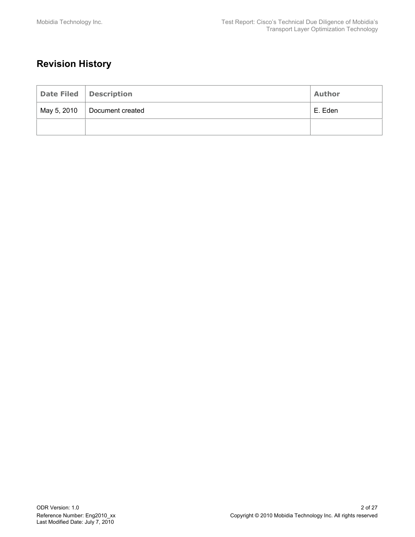## **Revision History**

| Date Filed   Description       | Author  |
|--------------------------------|---------|
| May 5, 2010   Document created | E. Eden |
|                                |         |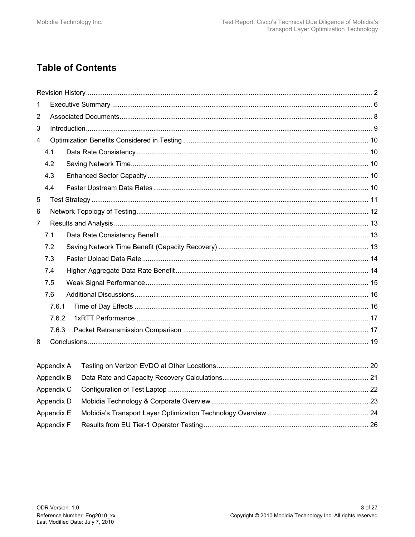## **Table of Contents**

| 1                       |            |  |
|-------------------------|------------|--|
| $\overline{2}$          |            |  |
| 3                       |            |  |
| $\overline{\mathbf{4}}$ |            |  |
|                         | 4.1        |  |
|                         | 4.2        |  |
|                         | 4.3        |  |
|                         | 4.4        |  |
| 5                       |            |  |
| 6                       |            |  |
| $\overline{7}$          |            |  |
|                         | 7.1        |  |
|                         | 7.2        |  |
|                         | 7.3        |  |
|                         | 7.4        |  |
|                         | 7.5        |  |
|                         | 7.6        |  |
|                         | 7.6.1      |  |
|                         | 7.6.2      |  |
|                         | 7.6.3      |  |
| 8                       |            |  |
|                         |            |  |
|                         | Appendix A |  |
|                         | Appendix B |  |
|                         | Appendix C |  |
|                         | Appendix D |  |
|                         | Appendix E |  |

Appendix F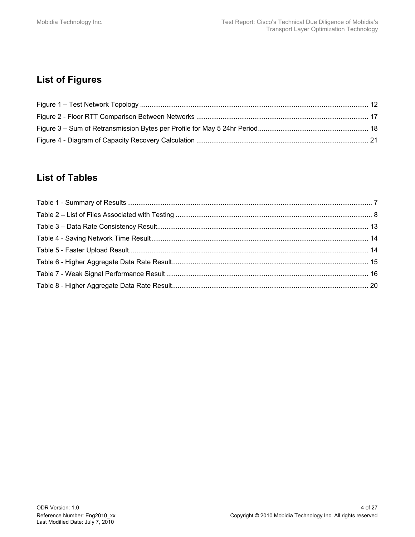## **List of Figures**

### **List of Tables**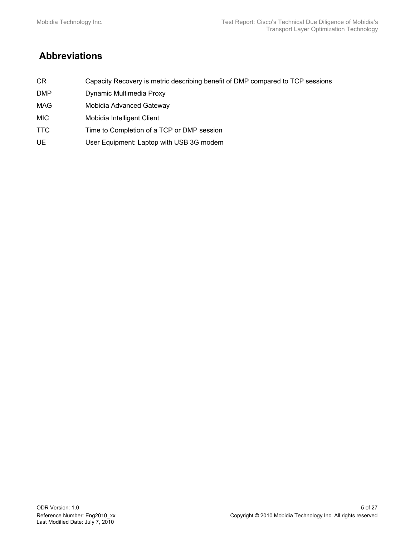## **Abbreviations**

- CR Capacity Recovery is metric describing benefit of DMP compared to TCP sessions
- DMP Dynamic Multimedia Proxy
- MAG Mobidia Advanced Gateway
- MIC Mobidia Intelligent Client
- TTC Time to Completion of a TCP or DMP session
- UE User Equipment: Laptop with USB 3G modem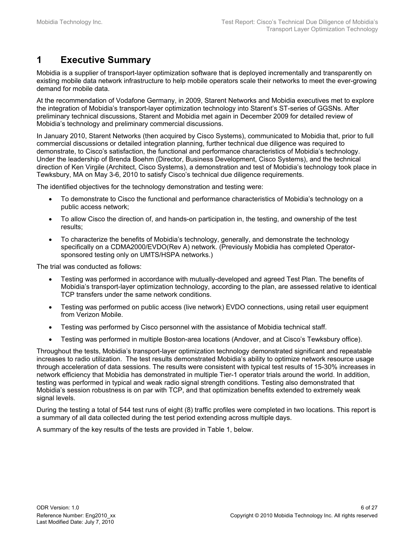### **1 Executive Summary**

Mobidia is a supplier of transport-layer optimization software that is deployed incrementally and transparently on existing mobile data network infrastructure to help mobile operators scale their networks to meet the ever-growing demand for mobile data.

At the recommendation of Vodafone Germany, in 2009, Starent Networks and Mobidia executives met to explore the integration of Mobidia's transport-layer optimization technology into Starent's ST-series of GGSNs. After preliminary technical discussions, Starent and Mobidia met again in December 2009 for detailed review of Mobidia's technology and preliminary commercial discussions.

In January 2010, Starent Networks (then acquired by Cisco Systems), communicated to Mobidia that, prior to full commercial discussions or detailed integration planning, further technical due diligence was required to demonstrate, to Cisco's satisfaction, the functional and performance characteristics of Mobidia's technology. Under the leadership of Brenda Boehm (Director, Business Development, Cisco Systems), and the technical direction of Ken Virgile (Architect, Cisco Systems), a demonstration and test of Mobidia's technology took place in Tewksbury, MA on May 3-6, 2010 to satisfy Cisco's technical due diligence requirements.

The identified objectives for the technology demonstration and testing were:

- To demonstrate to Cisco the functional and performance characteristics of Mobidia's technology on a public access network;
- To allow Cisco the direction of, and hands-on participation in, the testing, and ownership of the test results;
- To characterize the benefits of Mobidia's technology, generally, and demonstrate the technology specifically on a CDMA2000/EVDO(Rev A) network. (Previously Mobidia has completed Operatorsponsored testing only on UMTS/HSPA networks.)

The trial was conducted as follows:

- Testing was performed in accordance with mutually-developed and agreed Test Plan. The benefits of Mobidia's transport-layer optimization technology, according to the plan, are assessed relative to identical TCP transfers under the same network conditions.
- Testing was performed on public access (live network) EVDO connections, using retail user equipment from Verizon Mobile.
- Testing was performed by Cisco personnel with the assistance of Mobidia technical staff.
- Testing was performed in multiple Boston-area locations (Andover, and at Cisco's Tewksbury office).

Throughout the tests, Mobidia's transport-layer optimization technology demonstrated significant and repeatable increases to radio utilization. The test results demonstrated Mobidia's ability to optimize network resource usage through acceleration of data sessions. The results were consistent with typical test results of 15-30% increases in network efficiency that Mobidia has demonstrated in multiple Tier-1 operator trials around the world. In addition, testing was performed in typical and weak radio signal strength conditions. Testing also demonstrated that Mobidia's session robustness is on par with TCP, and that optimization benefits extended to extremely weak signal levels.

During the testing a total of 544 test runs of eight (8) traffic profiles were completed in two locations. This report is a summary of all data collected during the test period extending across multiple days.

A summary of the key results of the tests are provided in Table 1, below.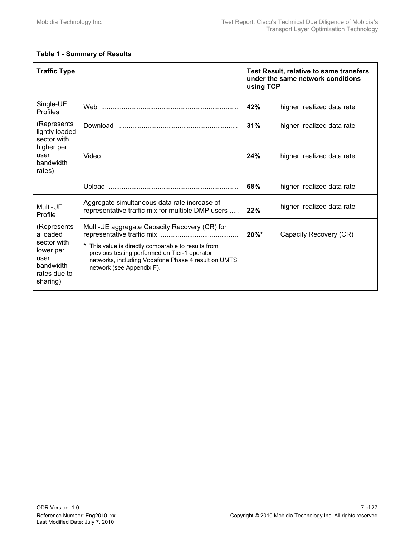#### **Table 1 - Summary of Results**

| <b>Traffic Type</b>                                                                                  |                                                                                                                                                                                                                                         | <b>Test Result, relative to same transfers</b><br>under the same network conditions<br>using TCP |                           |
|------------------------------------------------------------------------------------------------------|-----------------------------------------------------------------------------------------------------------------------------------------------------------------------------------------------------------------------------------------|--------------------------------------------------------------------------------------------------|---------------------------|
| Single-UE<br>Profiles                                                                                |                                                                                                                                                                                                                                         | 42%                                                                                              | higher realized data rate |
| (Represents<br>lightly loaded                                                                        |                                                                                                                                                                                                                                         | 31%                                                                                              | higher realized data rate |
| sector with<br>higher per<br>user<br>bandwidth<br>rates)                                             |                                                                                                                                                                                                                                         | 24%                                                                                              | higher realized data rate |
|                                                                                                      |                                                                                                                                                                                                                                         | 68%                                                                                              | higher realized data rate |
| Multi-UE<br>Profile                                                                                  | Aggregate simultaneous data rate increase of<br>representative traffic mix for multiple DMP users                                                                                                                                       | 22%                                                                                              | higher realized data rate |
| (Represents<br>a loaded<br>sector with<br>lower per<br>user<br>bandwidth<br>rates due to<br>sharing) | Multi-UE aggregate Capacity Recovery (CR) for<br>This value is directly comparable to results from<br>previous testing performed on Tier-1 operator<br>networks, including Vodafone Phase 4 result on UMTS<br>network (see Appendix F). | $20\%$ *                                                                                         | Capacity Recovery (CR)    |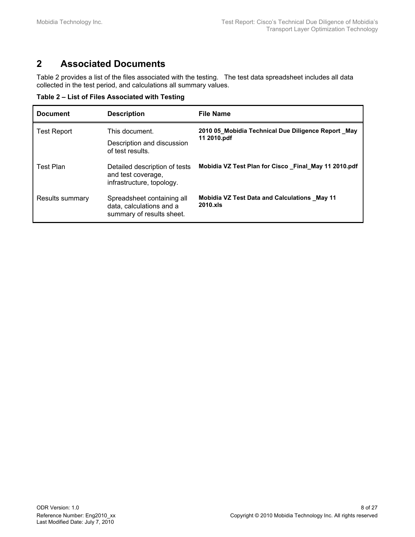### **2 Associated Documents**

Table 2 provides a list of the files associated with the testing. The test data spreadsheet includes all data collected in the test period, and calculations all summary values.

**Table 2 – List of Files Associated with Testing** 

| <b>Document</b>    | <b>Description</b>                                                                  | <b>File Name</b>                                                  |
|--------------------|-------------------------------------------------------------------------------------|-------------------------------------------------------------------|
| <b>Test Report</b> | This document.                                                                      | 2010 05 Mobidia Technical Due Diligence Report May                |
|                    | Description and discussion<br>of test results.                                      | 11 2010.pdf                                                       |
| <b>Test Plan</b>   | Detailed description of tests<br>and test coverage,<br>infrastructure, topology.    | Mobidia VZ Test Plan for Cisco Final May 11 2010.pdf              |
| Results summary    | Spreadsheet containing all<br>data, calculations and a<br>summary of results sheet. | <b>Mobidia VZ Test Data and Calculations May 11</b><br>$2010$ x s |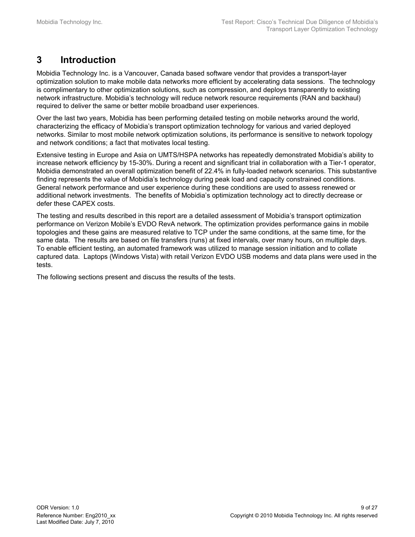## **3 Introduction**

Mobidia Technology Inc. is a Vancouver, Canada based software vendor that provides a transport-layer optimization solution to make mobile data networks more efficient by accelerating data sessions. The technology is complimentary to other optimization solutions, such as compression, and deploys transparently to existing network infrastructure. Mobidia's technology will reduce network resource requirements (RAN and backhaul) required to deliver the same or better mobile broadband user experiences.

Over the last two years, Mobidia has been performing detailed testing on mobile networks around the world, characterizing the efficacy of Mobidia's transport optimization technology for various and varied deployed networks. Similar to most mobile network optimization solutions, its performance is sensitive to network topology and network conditions; a fact that motivates local testing.

Extensive testing in Europe and Asia on UMTS/HSPA networks has repeatedly demonstrated Mobidia's ability to increase network efficiency by 15-30%. During a recent and significant trial in collaboration with a Tier-1 operator, Mobidia demonstrated an overall optimization benefit of 22.4% in fully-loaded network scenarios. This substantive finding represents the value of Mobidia's technology during peak load and capacity constrained conditions. General network performance and user experience during these conditions are used to assess renewed or additional network investments. The benefits of Mobidia's optimization technology act to directly decrease or defer these CAPEX costs.

The testing and results described in this report are a detailed assessment of Mobidia's transport optimization performance on Verizon Mobile's EVDO RevA network. The optimization provides performance gains in mobile topologies and these gains are measured relative to TCP under the same conditions, at the same time, for the same data. The results are based on file transfers (runs) at fixed intervals, over many hours, on multiple days. To enable efficient testing, an automated framework was utilized to manage session initiation and to collate captured data. Laptops (Windows Vista) with retail Verizon EVDO USB modems and data plans were used in the tests.

The following sections present and discuss the results of the tests.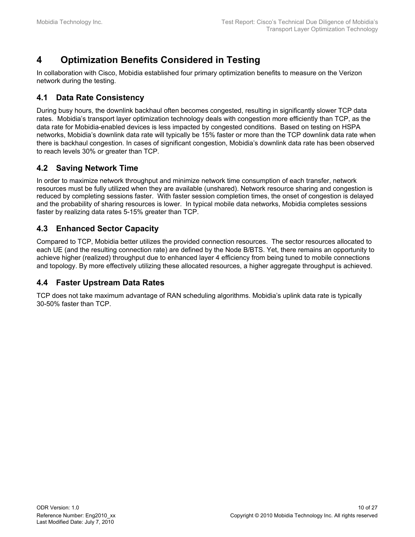### **4 Optimization Benefits Considered in Testing**

In collaboration with Cisco, Mobidia established four primary optimization benefits to measure on the Verizon network during the testing.

### **4.1 Data Rate Consistency**

During busy hours, the downlink backhaul often becomes congested, resulting in significantly slower TCP data rates. Mobidia's transport layer optimization technology deals with congestion more efficiently than TCP, as the data rate for Mobidia-enabled devices is less impacted by congested conditions. Based on testing on HSPA networks, Mobidia's downlink data rate will typically be 15% faster or more than the TCP downlink data rate when there is backhaul congestion. In cases of significant congestion, Mobidia's downlink data rate has been observed to reach levels 30% or greater than TCP.

### **4.2 Saving Network Time**

In order to maximize network throughput and minimize network time consumption of each transfer, network resources must be fully utilized when they are available (unshared). Network resource sharing and congestion is reduced by completing sessions faster. With faster session completion times, the onset of congestion is delayed and the probability of sharing resources is lower. In typical mobile data networks, Mobidia completes sessions faster by realizing data rates 5-15% greater than TCP.

### **4.3 Enhanced Sector Capacity**

Compared to TCP, Mobidia better utilizes the provided connection resources. The sector resources allocated to each UE (and the resulting connection rate) are defined by the Node B/BTS. Yet, there remains an opportunity to achieve higher (realized) throughput due to enhanced layer 4 efficiency from being tuned to mobile connections and topology. By more effectively utilizing these allocated resources, a higher aggregate throughput is achieved.

#### **4.4 Faster Upstream Data Rates**

TCP does not take maximum advantage of RAN scheduling algorithms. Mobidia's uplink data rate is typically 30-50% faster than TCP.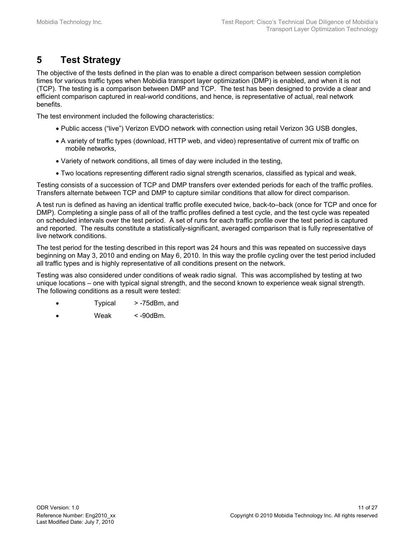### **5 Test Strategy**

The objective of the tests defined in the plan was to enable a direct comparison between session completion times for various traffic types when Mobidia transport layer optimization (DMP) is enabled, and when it is not (TCP). The testing is a comparison between DMP and TCP. The test has been designed to provide a clear and efficient comparison captured in real-world conditions, and hence, is representative of actual, real network benefits.

The test environment included the following characteristics:

- Public access ("live") Verizon EVDO network with connection using retail Verizon 3G USB dongles,
- A variety of traffic types (download, HTTP web, and video) representative of current mix of traffic on mobile networks,
- Variety of network conditions, all times of day were included in the testing,
- Two locations representing different radio signal strength scenarios, classified as typical and weak.

Testing consists of a succession of TCP and DMP transfers over extended periods for each of the traffic profiles. Transfers alternate between TCP and DMP to capture similar conditions that allow for direct comparison.

A test run is defined as having an identical traffic profile executed twice, back-to–back (once for TCP and once for DMP). Completing a single pass of all of the traffic profiles defined a test cycle, and the test cycle was repeated on scheduled intervals over the test period. A set of runs for each traffic profile over the test period is captured and reported. The results constitute a statistically-significant, averaged comparison that is fully representative of live network conditions.

The test period for the testing described in this report was 24 hours and this was repeated on successive days beginning on May 3, 2010 and ending on May 6, 2010. In this way the profile cycling over the test period included all traffic types and is highly representative of all conditions present on the network.

Testing was also considered under conditions of weak radio signal. This was accomplished by testing at two unique locations – one with typical signal strength, and the second known to experience weak signal strength. The following conditions as a result were tested:

- Typical > -75dBm, and
- $Weak \leq -90d$ Bm.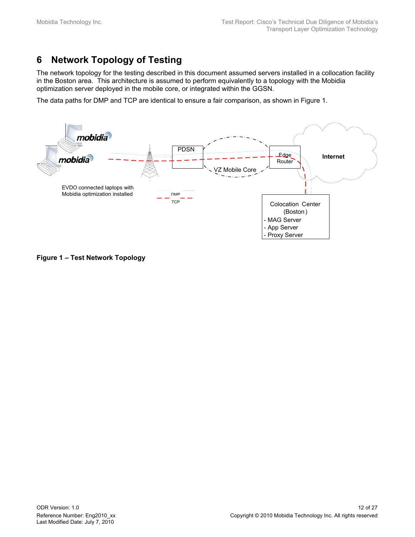## **6 Network Topology of Testing**

The network topology for the testing described in this document assumed servers installed in a collocation facility in the Boston area. This architecture is assumed to perform equivalently to a topology with the Mobidia optimization server deployed in the mobile core, or integrated within the GGSN.

The data paths for DMP and TCP are identical to ensure a fair comparison, as shown in Figure 1.



**Figure 1 – Test Network Topology**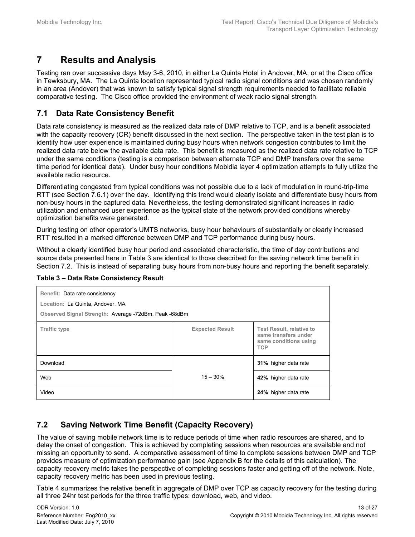### **7 Results and Analysis**

Testing ran over successive days May 3-6, 2010, in either La Quinta Hotel in Andover, MA, or at the Cisco office in Tewksbury, MA. The La Quinta location represented typical radio signal conditions and was chosen randomly in an area (Andover) that was known to satisfy typical signal strength requirements needed to facilitate reliable comparative testing. The Cisco office provided the environment of weak radio signal strength.

#### **7.1 Data Rate Consistency Benefit**

Data rate consistency is measured as the realized data rate of DMP relative to TCP, and is a benefit associated with the capacity recovery (CR) benefit discussed in the next section. The perspective taken in the test plan is to identify how user experience is maintained during busy hours when network congestion contributes to limit the realized data rate below the available data rate. This benefit is measured as the realized data rate relative to TCP under the same conditions (testing is a comparison between alternate TCP and DMP transfers over the same time period for identical data). Under busy hour conditions Mobidia layer 4 optimization attempts to fully utilize the available radio resource.

Differentiating congested from typical conditions was not possible due to a lack of modulation in round-trip-time RTT (see Section 7.6.1) over the day. Identifying this trend would clearly isolate and differentiate busy hours from non-busy hours in the captured data. Nevertheless, the testing demonstrated significant increases in radio utilization and enhanced user experience as the typical state of the network provided conditions whereby optimization benefits were generated.

During testing on other operator's UMTS networks, busy hour behaviours of substantially or clearly increased RTT resulted in a marked difference between DMP and TCP performance during busy hours.

Without a clearly identified busy hour period and associated characteristic, the time of day contributions and source data presented here in Table 3 are identical to those described for the saving network time benefit in Section 7.2. This is instead of separating busy hours from non-busy hours and reporting the benefit separately.

| Benefit: Data rate consistency<br>Location: La Quinta, Andover, MA<br>Observed Signal Strength: Average -72dBm, Peak -68dBm |                        |                                                                                                |  |
|-----------------------------------------------------------------------------------------------------------------------------|------------------------|------------------------------------------------------------------------------------------------|--|
| <b>Traffic type</b>                                                                                                         | <b>Expected Result</b> | <b>Test Result, relative to</b><br>same transfers under<br>same conditions using<br><b>TCP</b> |  |
| Download                                                                                                                    |                        | 31% higher data rate                                                                           |  |
| Web                                                                                                                         | $15 - 30%$             | 42% higher data rate                                                                           |  |
| Video                                                                                                                       |                        | 24% higher data rate                                                                           |  |

#### **Table 3 – Data Rate Consistency Result**

### **7.2 Saving Network Time Benefit (Capacity Recovery)**

The value of saving mobile network time is to reduce periods of time when radio resources are shared, and to delay the onset of congestion. This is achieved by completing sessions when resources are available and not missing an opportunity to send. A comparative assessment of time to complete sessions between DMP and TCP provides measure of optimization performance gain (see Appendix B for the details of this calculation). The capacity recovery metric takes the perspective of completing sessions faster and getting off of the network. Note, capacity recovery metric has been used in previous testing.

Table 4 summarizes the relative benefit in aggregate of DMP over TCP as capacity recovery for the testing during all three 24hr test periods for the three traffic types: download, web, and video.

Last Modified Date: July 7, 2010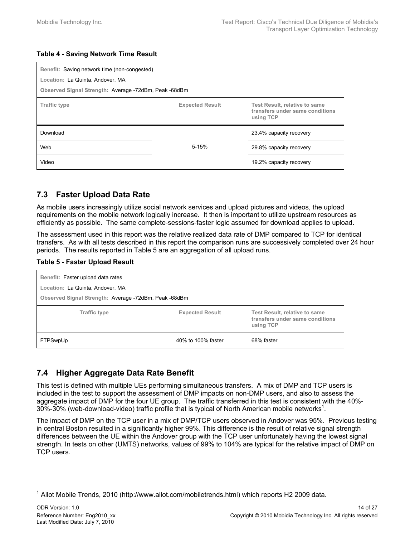#### **Table 4 - Saving Network Time Result**

| Benefit: Saving network time (non-congested)<br>Location: La Quinta, Andover, MA<br>Observed Signal Strength: Average -72dBm, Peak -68dBm |           |                         |  |
|-------------------------------------------------------------------------------------------------------------------------------------------|-----------|-------------------------|--|
| <b>Expected Result</b><br><b>Traffic type</b><br>Test Result, relative to same<br>transfers under same conditions<br>using TCP            |           |                         |  |
| Download                                                                                                                                  |           | 23.4% capacity recovery |  |
| Web                                                                                                                                       | $5 - 15%$ | 29.8% capacity recovery |  |
| Video                                                                                                                                     |           | 19.2% capacity recovery |  |

### **7.3 Faster Upload Data Rate**

As mobile users increasingly utilize social network services and upload pictures and videos, the upload requirements on the mobile network logically increase. It then is important to utilize upstream resources as efficiently as possible. The same complete-sessions-faster logic assumed for download applies to upload.

The assessment used in this report was the relative realized data rate of DMP compared to TCP for identical transfers. As with all tests described in this report the comparison runs are successively completed over 24 hour periods. The results reported in Table 5 are an aggregation of all upload runs.

#### **Table 5 - Faster Upload Result**

| Benefit: Faster upload data rates<br>Location: La Quinta, Andover, MA<br>Observed Signal Strength: Average -72dBm, Peak -68dBm |                        |                                                                               |  |
|--------------------------------------------------------------------------------------------------------------------------------|------------------------|-------------------------------------------------------------------------------|--|
| <b>Traffic type</b>                                                                                                            | <b>Expected Result</b> | Test Result, relative to same<br>transfers under same conditions<br>using TCP |  |
| FTPSwpUp                                                                                                                       | 40% to 100% faster     | 68% faster                                                                    |  |

### **7.4 Higher Aggregate Data Rate Benefit**

This test is defined with multiple UEs performing simultaneous transfers. A mix of DMP and TCP users is included in the test to support the assessment of DMP impacts on non-DMP users, and also to assess the aggregate impact of DMP for the four UE group. The traffic transferred in this test is consistent with the 40%-  $30\%$ -30% (web-download-video) traffic profile that is typical of North American mobile networks<sup>1</sup>.

The impact of DMP on the TCP user in a mix of DMP/TCP users observed in Andover was 95%. Previous testing in central Boston resulted in a significantly higher 99%. This difference is the result of relative signal strength differences between the UE within the Andover group with the TCP user unfortunately having the lowest signal strength. In tests on other (UMTS) networks, values of 99% to 104% are typical for the relative impact of DMP on TCP users.

l

<sup>&</sup>lt;sup>1</sup> Allot Mobile Trends, 2010 (http://www.allot.com/mobiletrends.html) which reports H2 2009 data.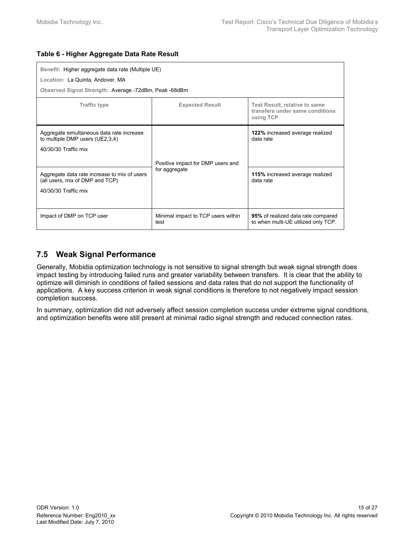| Benefit: Higher aggregate data rate (Multiple UE)<br>Location: La Quinta, Andover, MA                   |                                            |                                                                                      |  |
|---------------------------------------------------------------------------------------------------------|--------------------------------------------|--------------------------------------------------------------------------------------|--|
| Observed Signal Strength: Average -72dBm, Peak -68dBm                                                   |                                            |                                                                                      |  |
| <b>Traffic type</b>                                                                                     | <b>Expected Result</b>                     | <b>Test Result, relative to same</b><br>transfers under same conditions<br>using TCP |  |
| Aggregate simultaneous data rate increase<br>to multiple DMP users (UE2,3,4)<br>40/30/30 Traffic mix    | Positive impact for DMP users and          | 122% increased average realized<br>data rate                                         |  |
| Aggregate data rate increase to mix of users<br>(all users, mix of DMP and TCP)<br>40/30/30 Traffic mix | for aggregate                              | 115% increased average realized<br>data rate                                         |  |
| Impact of DMP on TCP user                                                                               | Minimal impact to TCP users within<br>test | 95% of realized data rate compared<br>to when multi-UE utilized only TCP.            |  |

#### **Table 6 - Higher Aggregate Data Rate Result**

### **7.5 Weak Signal Performance**

Generally, Mobidia optimization technology is not sensitive to signal strength but weak signal strength does impact testing by introducing failed runs and greater variability between transfers. It is clear that the ability to optimize will diminish in conditions of failed sessions and data rates that do not support the functionality of applications. A key success criterion in weak signal conditions is therefore to not negatively impact session completion success.

In summary, optimization did not adversely affect session completion success under extreme signal conditions, and optimization benefits were still present at minimal radio signal strength and reduced connection rates.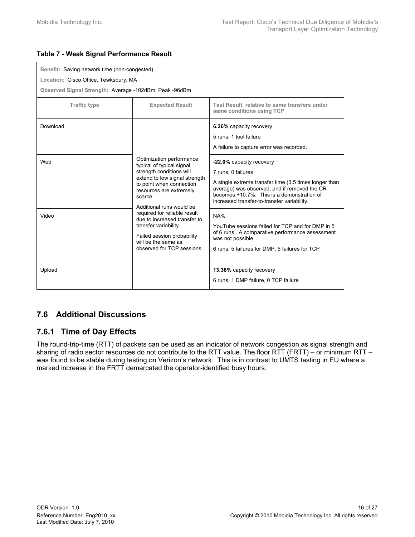#### **Table 7 - Weak Signal Performance Result**

| Benefit: Saving network time (non-congested)<br>Location: Cisco Office, Tewksbury, MA<br>Observed Signal Strength: Average -102dBm, Peak -96dBm |                                                                                                                                                                                                                                                                                                                                                                                              |                                                                                                                                                                                                                                                      |                                                                                                                                                                                   |  |  |
|-------------------------------------------------------------------------------------------------------------------------------------------------|----------------------------------------------------------------------------------------------------------------------------------------------------------------------------------------------------------------------------------------------------------------------------------------------------------------------------------------------------------------------------------------------|------------------------------------------------------------------------------------------------------------------------------------------------------------------------------------------------------------------------------------------------------|-----------------------------------------------------------------------------------------------------------------------------------------------------------------------------------|--|--|
| <b>Traffic type</b>                                                                                                                             | <b>Expected Result</b>                                                                                                                                                                                                                                                                                                                                                                       | Test Result, relative to same transfers under<br>same conditions using TCP                                                                                                                                                                           |                                                                                                                                                                                   |  |  |
| Download                                                                                                                                        | Optimization performance<br>typical of typical signal<br>strength conditions will<br>extend to low signal strength<br>to point when connection<br>resources are extremely<br>scarce.<br>Additional runs would be<br>required for reliable result<br>due to increased transfer to<br>transfer variability.<br>Failed session probability<br>will be the same as<br>observed for TCP sessions. | 6.26% capacity recovery<br>5 runs; 1 tool failure<br>A failure to capture error was recorded.                                                                                                                                                        |                                                                                                                                                                                   |  |  |
| Web                                                                                                                                             |                                                                                                                                                                                                                                                                                                                                                                                              | -22.0% capacity recovery<br>7 runs; 0 failures<br>A single extreme transfer time (3.5 times longer than<br>average) was observed, and if removed the CR<br>becomes +10.7%. This is a demonstration of<br>increased transfer-to-transfer variability. |                                                                                                                                                                                   |  |  |
| Video                                                                                                                                           |                                                                                                                                                                                                                                                                                                                                                                                              |                                                                                                                                                                                                                                                      | NA%<br>YouTube sessions failed for TCP and for DMP in 5<br>of 6 runs. A comparative performance assessment<br>was not possible.<br>6 runs; 5 failures for DMP, 5 failures for TCP |  |  |
| Upload                                                                                                                                          |                                                                                                                                                                                                                                                                                                                                                                                              | 13.36% capacity recovery<br>6 runs; 1 DMP failure, 0 TCP failure                                                                                                                                                                                     |                                                                                                                                                                                   |  |  |

### **7.6 Additional Discussions**

### **7.6.1 Time of Day Effects**

The round-trip-time (RTT) of packets can be used as an indicator of network congestion as signal strength and sharing of radio sector resources do not contribute to the RTT value. The floor RTT (FRTT) – or minimum RTT – was found to be stable during testing on Verizon's network. This is in contrast to UMTS testing in EU where a marked increase in the FRTT demarcated the operator-identified busy hours.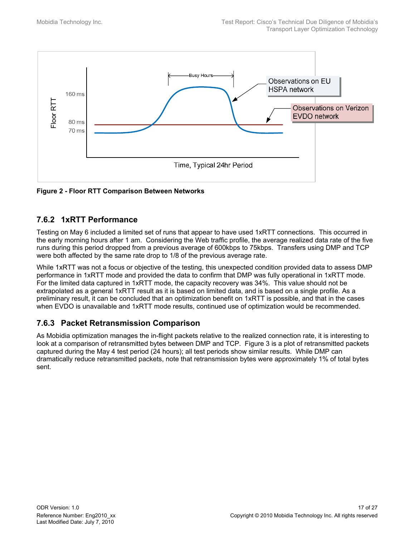

**Figure 2 - Floor RTT Comparison Between Networks** 

### **7.6.2 1xRTT Performance**

Testing on May 6 included a limited set of runs that appear to have used 1xRTT connections. This occurred in the early morning hours after 1 am. Considering the Web traffic profile, the average realized data rate of the five runs during this period dropped from a previous average of 600kbps to 75kbps. Transfers using DMP and TCP were both affected by the same rate drop to 1/8 of the previous average rate.

While 1xRTT was not a focus or objective of the testing, this unexpected condition provided data to assess DMP performance in 1xRTT mode and provided the data to confirm that DMP was fully operational in 1xRTT mode. For the limited data captured in 1xRTT mode, the capacity recovery was 34%. This value should not be extrapolated as a general 1xRTT result as it is based on limited data, and is based on a single profile. As a preliminary result, it can be concluded that an optimization benefit on 1xRTT is possible, and that in the cases when EVDO is unavailable and 1xRTT mode results, continued use of optimization would be recommended.

### **7.6.3 Packet Retransmission Comparison**

As Mobidia optimization manages the in-flight packets relative to the realized connection rate, it is interesting to look at a comparison of retransmitted bytes between DMP and TCP. Figure 3 is a plot of retransmitted packets captured during the May 4 test period (24 hours); all test periods show similar results. While DMP can dramatically reduce retransmitted packets, note that retransmission bytes were approximately 1% of total bytes sent.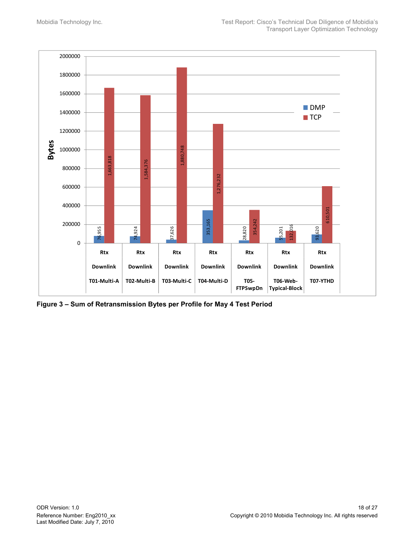

**Figure 3 – Sum of Retransmission Bytes per Profile for May 4 Test Period**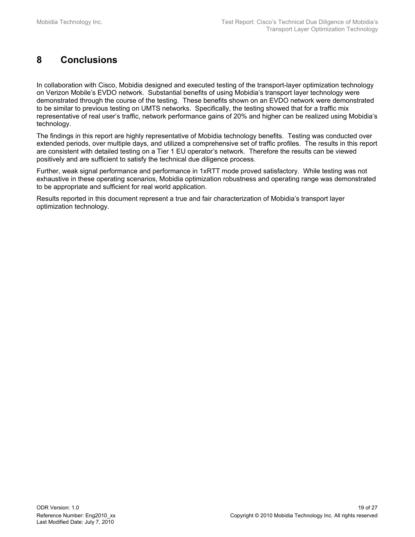## **8 Conclusions**

In collaboration with Cisco, Mobidia designed and executed testing of the transport-layer optimization technology on Verizon Mobile's EVDO network. Substantial benefits of using Mobidia's transport layer technology were demonstrated through the course of the testing. These benefits shown on an EVDO network were demonstrated to be similar to previous testing on UMTS networks. Specifically, the testing showed that for a traffic mix representative of real user's traffic, network performance gains of 20% and higher can be realized using Mobidia's technology.

The findings in this report are highly representative of Mobidia technology benefits. Testing was conducted over extended periods, over multiple days, and utilized a comprehensive set of traffic profiles. The results in this report are consistent with detailed testing on a Tier 1 EU operator's network. Therefore the results can be viewed positively and are sufficient to satisfy the technical due diligence process.

Further, weak signal performance and performance in 1xRTT mode proved satisfactory. While testing was not exhaustive in these operating scenarios, Mobidia optimization robustness and operating range was demonstrated to be appropriate and sufficient for real world application.

Results reported in this document represent a true and fair characterization of Mobidia's transport layer optimization technology.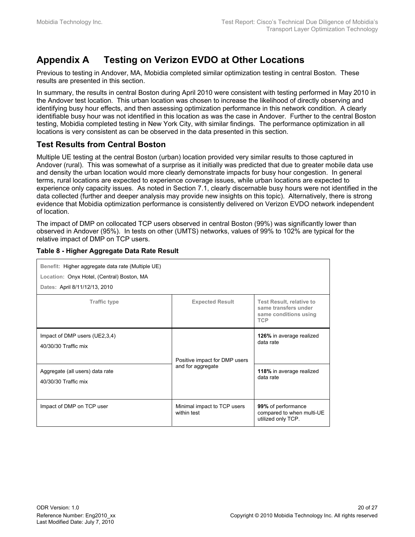## **Appendix A Testing on Verizon EVDO at Other Locations**

Previous to testing in Andover, MA, Mobidia completed similar optimization testing in central Boston. These results are presented in this section.

In summary, the results in central Boston during April 2010 were consistent with testing performed in May 2010 in the Andover test location. This urban location was chosen to increase the likelihood of directly observing and identifying busy hour effects, and then assessing optimization performance in this network condition. A clearly identifiable busy hour was not identified in this location as was the case in Andover. Further to the central Boston testing, Mobidia completed testing in New York City, with similar findings. The performance optimization in all locations is very consistent as can be observed in the data presented in this section.

#### **Test Results from Central Boston**

Multiple UE testing at the central Boston (urban) location provided very similar results to those captured in Andover (rural). This was somewhat of a surprise as it initially was predicted that due to greater mobile data use and density the urban location would more clearly demonstrate impacts for busy hour congestion. In general terms, rural locations are expected to experience coverage issues, while urban locations are expected to experience only capacity issues. As noted in Section 7.1, clearly discernable busy hours were not identified in the data collected (further and deeper analysis may provide new insights on this topic). Alternatively, there is strong evidence that Mobidia optimization performance is consistently delivered on Verizon EVDO network independent of location.

The impact of DMP on collocated TCP users observed in central Boston (99%) was significantly lower than observed in Andover (95%). In tests on other (UMTS) networks, values of 99% to 102% are typical for the relative impact of DMP on TCP users.

| Benefit: Higher aggregate data rate (Multiple UE)<br>Location: Onyx Hotel, (Central) Boston, MA<br>Dates: April 8/11/12/13, 2010 |                                            |                                                                                                |
|----------------------------------------------------------------------------------------------------------------------------------|--------------------------------------------|------------------------------------------------------------------------------------------------|
| <b>Traffic type</b>                                                                                                              | <b>Expected Result</b>                     | <b>Test Result, relative to</b><br>same transfers under<br>same conditions using<br><b>TCP</b> |
| Impact of DMP users (UE2,3,4)<br>40/30/30 Traffic mix                                                                            | Positive impact for DMP users              | 126% in average realized<br>data rate                                                          |
| Aggregate (all users) data rate<br>40/30/30 Traffic mix                                                                          | and for aggregate                          | 118% in average realized<br>data rate                                                          |
| Impact of DMP on TCP user                                                                                                        | Minimal impact to TCP users<br>within test | 99% of performance<br>compared to when multi-UE<br>utilized only TCP.                          |

#### **Table 8 - Higher Aggregate Data Rate Result**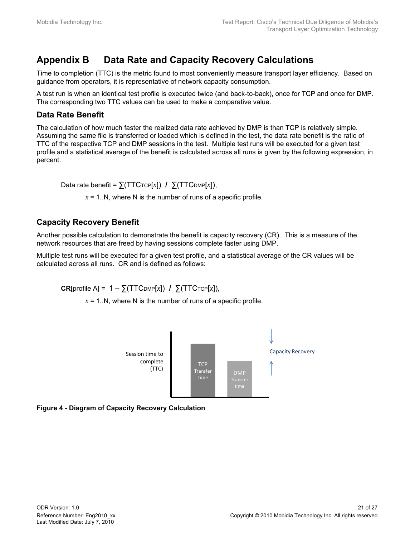## **Appendix B Data Rate and Capacity Recovery Calculations**

Time to completion (TTC) is the metric found to most conveniently measure transport layer efficiency. Based on guidance from operators, it is representative of network capacity consumption.

A test run is when an identical test profile is executed twice (and back-to-back), once for TCP and once for DMP. The corresponding two TTC values can be used to make a comparative value.

#### **Data Rate Benefit**

The calculation of how much faster the realized data rate achieved by DMP is than TCP is relatively simple. Assuming the same file is transferred or loaded which is defined in the test, the data rate benefit is the ratio of TTC of the respective TCP and DMP sessions in the test. Multiple test runs will be executed for a given test profile and a statistical average of the benefit is calculated across all runs is given by the following expression, in percent:

Data rate benefit =  $\sum (TTC_{TCP}[x])$  /  $\sum (TTC_{DMP}[x]),$ 

 $x = 1$ . N, where N is the number of runs of a specific profile.

### **Capacity Recovery Benefit**

Another possible calculation to demonstrate the benefit is capacity recovery (CR). This is a measure of the network resources that are freed by having sessions complete faster using DMP.

Multiple test runs will be executed for a given test profile, and a statistical average of the CR values will be calculated across all runs. CR and is defined as follows:

CR[profile A] = 1 – ∑(TTC<sub>DMP</sub>[x]) / ∑(TTC<sub>TCP</sub>[x]),

 $x = 1$ ..N, where N is the number of runs of a specific profile.



**Figure 4 - Diagram of Capacity Recovery Calculation**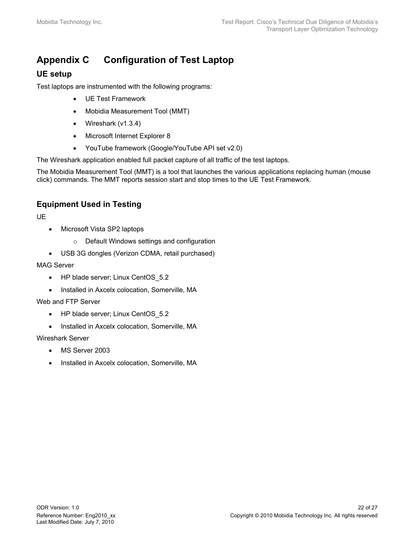## **Appendix C Configuration of Test Laptop**

### **UE setup**

Test laptops are instrumented with the following programs:

- UE Test Framework
- Mobidia Measurement Tool (MMT)
- Wireshark (v1.3.4)
- Microsoft Internet Explorer 8
- YouTube framework (Google/YouTube API set v2.0)

The Wireshark application enabled full packet capture of all traffic of the test laptops.

The Mobidia Measurement Tool (MMT) is a tool that launches the various applications replacing human (mouse click) commands. The MMT reports session start and stop times to the UE Test Framework.

### **Equipment Used in Testing**

UE

- Microsoft Vista SP2 laptops
	- o Default Windows settings and configuration
- USB 3G dongles (Verizon CDMA, retail purchased)

#### MAG Server

- HP blade server; Linux CentOS 5.2
- Installed in Axcelx colocation, Somerville, MA

#### Web and FTP Server

- HP blade server; Linux CentOS 5.2
- Installed in Axcelx colocation, Somerville, MA

Wireshark Server

- MS Server 2003
- Installed in Axcelx colocation, Somerville, MA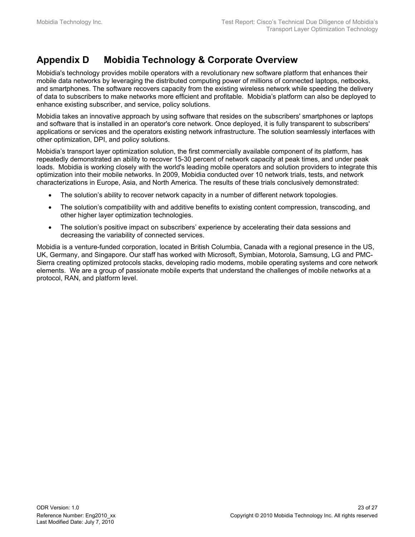### **Appendix D Mobidia Technology & Corporate Overview**

Mobidia's technology provides mobile operators with a revolutionary new software platform that enhances their mobile data networks by leveraging the distributed computing power of millions of connected laptops, netbooks, and smartphones. The software recovers capacity from the existing wireless network while speeding the delivery of data to subscribers to make networks more efficient and profitable. Mobidia's platform can also be deployed to enhance existing subscriber, and service, policy solutions.

Mobidia takes an innovative approach by using software that resides on the subscribers' smartphones or laptops and software that is installed in an operator's core network. Once deployed, it is fully transparent to subscribers' applications or services and the operators existing network infrastructure. The solution seamlessly interfaces with other optimization, DPI, and policy solutions.

Mobidia's transport layer optimization solution, the first commercially available component of its platform, has repeatedly demonstrated an ability to recover 15-30 percent of network capacity at peak times, and under peak loads. Mobidia is working closely with the world's leading mobile operators and solution providers to integrate this optimization into their mobile networks. In 2009, Mobidia conducted over 10 network trials, tests, and network characterizations in Europe, Asia, and North America. The results of these trials conclusively demonstrated:

- The solution's ability to recover network capacity in a number of different network topologies.
- The solution's compatibility with and additive benefits to existing content compression, transcoding, and other higher layer optimization technologies.
- The solution's positive impact on subscribers' experience by accelerating their data sessions and decreasing the variability of connected services.

Mobidia is a venture-funded corporation, located in British Columbia, Canada with a regional presence in the US, UK, Germany, and Singapore. Our staff has worked with Microsoft, Symbian, Motorola, Samsung, LG and PMC-Sierra creating optimized protocols stacks, developing radio modems, mobile operating systems and core network elements. We are a group of passionate mobile experts that understand the challenges of mobile networks at a protocol, RAN, and platform level.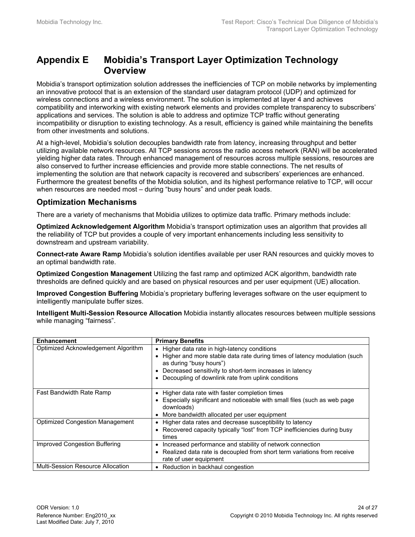### **Appendix E Mobidia's Transport Layer Optimization Technology Overview**

Mobidia's transport optimization solution addresses the inefficiencies of TCP on mobile networks by implementing an innovative protocol that is an extension of the standard user datagram protocol (UDP) and optimized for wireless connections and a wireless environment. The solution is implemented at layer 4 and achieves compatibility and interworking with existing network elements and provides complete transparency to subscribers' applications and services. The solution is able to address and optimize TCP traffic without generating incompatibility or disruption to existing technology. As a result, efficiency is gained while maintaining the benefits from other investments and solutions.

At a high-level, Mobidia's solution decouples bandwidth rate from latency, increasing throughput and better utilizing available network resources. All TCP sessions across the radio access network (RAN) will be accelerated yielding higher data rates. Through enhanced management of resources across multiple sessions, resources are also conserved to further increase efficiencies and provide more stable connections. The net results of implementing the solution are that network capacity is recovered and subscribers' experiences are enhanced. Furthermore the greatest benefits of the Mobidia solution, and its highest performance relative to TCP, will occur when resources are needed most – during "busy hours" and under peak loads.

#### **Optimization Mechanisms**

There are a variety of mechanisms that Mobidia utilizes to optimize data traffic. Primary methods include:

**Optimized Acknowledgement Algorithm** Mobidia's transport optimization uses an algorithm that provides all the reliability of TCP but provides a couple of very important enhancements including less sensitivity to downstream and upstream variability.

**Connect-rate Aware Ramp** Mobidia's solution identifies available per user RAN resources and quickly moves to an optimal bandwidth rate.

**Optimized Congestion Management** Utilizing the fast ramp and optimized ACK algorithm, bandwidth rate thresholds are defined quickly and are based on physical resources and per user equipment (UE) allocation.

**Improved Congestion Buffering** Mobidia's proprietary buffering leverages software on the user equipment to intelligently manipulate buffer sizes.

**Intelligent Multi-Session Resource Allocation** Mobidia instantly allocates resources between multiple sessions while managing "fairness".

| <b>Enhancement</b>                     | <b>Primary Benefits</b>                                                                                                                                                                                                                                                                   |
|----------------------------------------|-------------------------------------------------------------------------------------------------------------------------------------------------------------------------------------------------------------------------------------------------------------------------------------------|
| Optimized Acknowledgement Algorithm    | • Higher data rate in high-latency conditions<br>Higher and more stable data rate during times of latency modulation (such<br>$\bullet$<br>as during "busy hours")<br>Decreased sensitivity to short-term increases in latency<br>٠<br>Decoupling of downlink rate from uplink conditions |
| Fast Bandwidth Rate Ramp               | • Higher data rate with faster completion times<br>• Especially significant and noticeable with small files (such as web page<br>downloads)<br>More bandwidth allocated per user equipment                                                                                                |
| <b>Optimized Congestion Management</b> | Higher data rates and decrease susceptibility to latency<br>$\bullet$<br>Recovered capacity typically "lost" from TCP inefficiencies during busy<br>times                                                                                                                                 |
| Improved Congestion Buffering          | Increased performance and stability of network connection<br>٠<br>Realized data rate is decoupled from short term variations from receive<br>rate of user equipment                                                                                                                       |
| Multi-Session Resource Allocation      | • Reduction in backhaul congestion                                                                                                                                                                                                                                                        |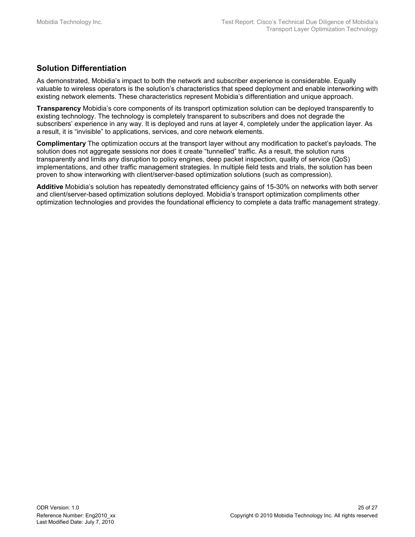### **Solution Differentiation**

As demonstrated, Mobidia's impact to both the network and subscriber experience is considerable. Equally valuable to wireless operators is the solution's characteristics that speed deployment and enable interworking with existing network elements. These characteristics represent Mobidia's differentiation and unique approach.

**Transparency** Mobidia's core components of its transport optimization solution can be deployed transparently to existing technology. The technology is completely transparent to subscribers and does not degrade the subscribers' experience in any way. It is deployed and runs at layer 4, completely under the application layer. As a result, it is "invisible" to applications, services, and core network elements.

**Complimentary** The optimization occurs at the transport layer without any modification to packet's payloads. The solution does not aggregate sessions nor does it create "tunnelled" traffic. As a result, the solution runs transparently and limits any disruption to policy engines, deep packet inspection, quality of service (QoS) implementations, and other traffic management strategies. In multiple field tests and trials, the solution has been proven to show interworking with client/server-based optimization solutions (such as compression).

**Additive** Mobidia's solution has repeatedly demonstrated efficiency gains of 15-30% on networks with both server and client/server-based optimization solutions deployed. Mobidia's transport optimization compliments other optimization technologies and provides the foundational efficiency to complete a data traffic management strategy.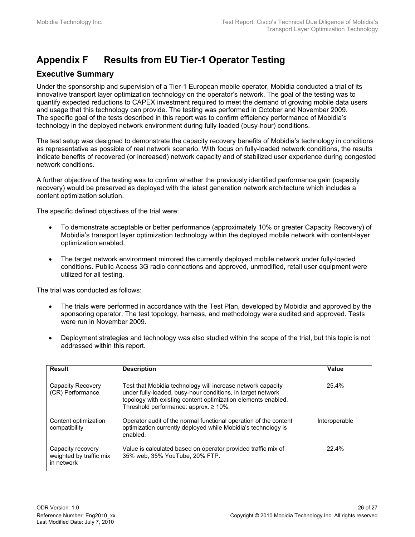## **Appendix F Results from EU Tier-1 Operator Testing**

### **Executive Summary**

Under the sponsorship and supervision of a Tier-1 European mobile operator, Mobidia conducted a trial of its innovative transport layer optimization technology on the operator's network. The goal of the testing was to quantify expected reductions to CAPEX investment required to meet the demand of growing mobile data users and usage that this technology can provide. The testing was performed in October and November 2009. The specific goal of the tests described in this report was to confirm efficiency performance of Mobidia's technology in the deployed network environment during fully-loaded (busy-hour) conditions.

The test setup was designed to demonstrate the capacity recovery benefits of Mobidia's technology in conditions as representative as possible of real network scenario. With focus on fully-loaded network conditions, the results indicate benefits of recovered (or increased) network capacity and of stabilized user experience during congested network conditions.

A further objective of the testing was to confirm whether the previously identified performance gain (capacity recovery) would be preserved as deployed with the latest generation network architecture which includes a content optimization solution.

The specific defined objectives of the trial were:

- To demonstrate acceptable or better performance (approximately 10% or greater Capacity Recovery) of Mobidia's transport layer optimization technology within the deployed mobile network with content-layer optimization enabled.
- The target network environment mirrored the currently deployed mobile network under fully-loaded conditions. Public Access 3G radio connections and approved, unmodified, retail user equipment were utilized for all testing.

The trial was conducted as follows:

- The trials were performed in accordance with the Test Plan, developed by Mobidia and approved by the sponsoring operator. The test topology, harness, and methodology were audited and approved. Tests were run in November 2009.
- Deployment strategies and technology was also studied within the scope of the trial, but this topic is not addressed within this report.

| Result                                                     | <b>Description</b>                                                                                                                                                                                                                          | Value         |
|------------------------------------------------------------|---------------------------------------------------------------------------------------------------------------------------------------------------------------------------------------------------------------------------------------------|---------------|
| Capacity Recovery<br>(CR) Performance                      | Test that Mobidia technology will increase network capacity<br>under fully-loaded, busy-hour conditions, in target network<br>topology with existing content optimization elements enabled.<br>Threshold performance: approx. $\geq 10\%$ . | 25.4%         |
| Content optimization<br>compatibility                      | Operator audit of the normal functional operation of the content<br>optimization currently deployed while Mobidia's technology is<br>enabled.                                                                                               | Interoperable |
| Capacity recovery<br>weighted by traffic mix<br>in network | Value is calculated based on operator provided traffic mix of<br>35% web, 35% YouTube, 20% FTP.                                                                                                                                             | 22.4%         |